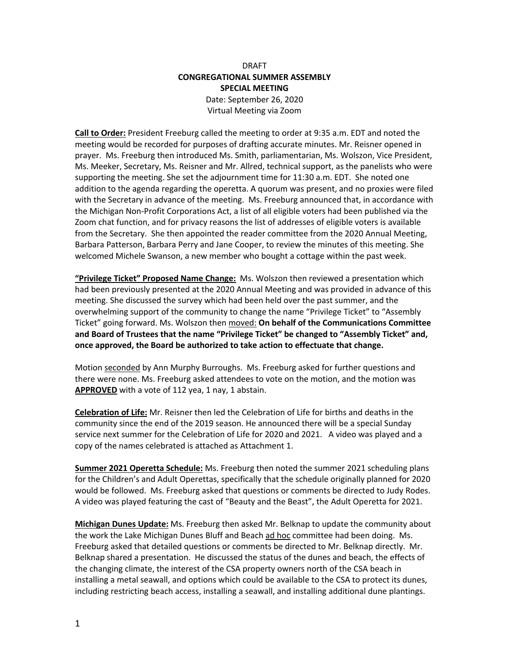# DRAFT **CONGREGATIONAL SUMMER ASSEMBLY SPECIAL MEETING** Date: September 26, 2020 Virtual Meeting via Zoom

**Call to Order:** President Freeburg called the meeting to order at 9:35 a.m. EDT and noted the meeting would be recorded for purposes of drafting accurate minutes. Mr. Reisner opened in prayer. Ms. Freeburg then introduced Ms. Smith, parliamentarian, Ms. Wolszon, Vice President, Ms. Meeker, Secretary, Ms. Reisner and Mr. Allred, technical support, as the panelists who were supporting the meeting. She set the adjournment time for 11:30 a.m. EDT. She noted one addition to the agenda regarding the operetta. A quorum was present, and no proxies were filed with the Secretary in advance of the meeting. Ms. Freeburg announced that, in accordance with the Michigan Non-Profit Corporations Act, a list of all eligible voters had been published via the Zoom chat function, and for privacy reasons the list of addresses of eligible voters is available from the Secretary. She then appointed the reader committee from the 2020 Annual Meeting, Barbara Patterson, Barbara Perry and Jane Cooper, to review the minutes of this meeting. She welcomed Michele Swanson, a new member who bought a cottage within the past week.

**"Privilege Ticket" Proposed Name Change:** Ms. Wolszon then reviewed a presentation which had been previously presented at the 2020 Annual Meeting and was provided in advance of this meeting. She discussed the survey which had been held over the past summer, and the overwhelming support of the community to change the name "Privilege Ticket" to "Assembly Ticket" going forward. Ms. Wolszon then moved: **On behalf of the Communications Committee and Board of Trustees that the name "Privilege Ticket" be changed to "Assembly Ticket" and, once approved, the Board be authorized to take action to effectuate that change.** 

Motion seconded by Ann Murphy Burroughs. Ms. Freeburg asked for further questions and there were none. Ms. Freeburg asked attendees to vote on the motion, and the motion was **APPROVED** with a vote of 112 yea, 1 nay, 1 abstain.

**Celebration of Life:** Mr. Reisner then led the Celebration of Life for births and deaths in the community since the end of the 2019 season. He announced there will be a special Sunday service next summer for the Celebration of Life for 2020 and 2021. A video was played and a copy of the names celebrated is attached as Attachment 1.

**Summer 2021 Operetta Schedule:** Ms. Freeburg then noted the summer 2021 scheduling plans for the Children's and Adult Operettas, specifically that the schedule originally planned for 2020 would be followed. Ms. Freeburg asked that questions or comments be directed to Judy Rodes. A video was played featuring the cast of "Beauty and the Beast", the Adult Operetta for 2021.

**Michigan Dunes Update:** Ms. Freeburg then asked Mr. Belknap to update the community about the work the Lake Michigan Dunes Bluff and Beach ad hoc committee had been doing. Ms. Freeburg asked that detailed questions or comments be directed to Mr. Belknap directly. Mr. Belknap shared a presentation. He discussed the status of the dunes and beach, the effects of the changing climate, the interest of the CSA property owners north of the CSA beach in installing a metal seawall, and options which could be available to the CSA to protect its dunes, including restricting beach access, installing a seawall, and installing additional dune plantings.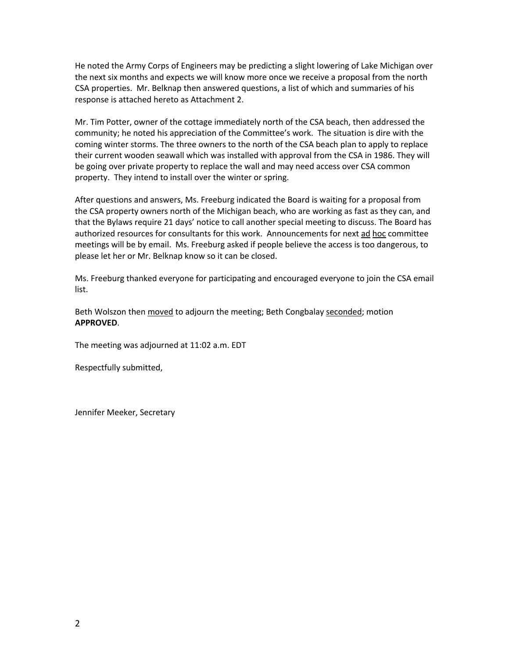He noted the Army Corps of Engineers may be predicting a slight lowering of Lake Michigan over the next six months and expects we will know more once we receive a proposal from the north CSA properties. Mr. Belknap then answered questions, a list of which and summaries of his response is attached hereto as Attachment 2.

Mr. Tim Potter, owner of the cottage immediately north of the CSA beach, then addressed the community; he noted his appreciation of the Committee's work. The situation is dire with the coming winter storms. The three owners to the north of the CSA beach plan to apply to replace their current wooden seawall which was installed with approval from the CSA in 1986. They will be going over private property to replace the wall and may need access over CSA common property. They intend to install over the winter or spring.

After questions and answers, Ms. Freeburg indicated the Board is waiting for a proposal from the CSA property owners north of the Michigan beach, who are working as fast as they can, and that the Bylaws require 21 days' notice to call another special meeting to discuss. The Board has authorized resources for consultants for this work. Announcements for next ad hoc committee meetings will be by email. Ms. Freeburg asked if people believe the access is too dangerous, to please let her or Mr. Belknap know so it can be closed.

Ms. Freeburg thanked everyone for participating and encouraged everyone to join the CSA email list.

Beth Wolszon then moved to adjourn the meeting; Beth Congbalay seconded; motion **APPROVED**.

The meeting was adjourned at 11:02 a.m. EDT

Respectfully submitted,

Jennifer Meeker, Secretary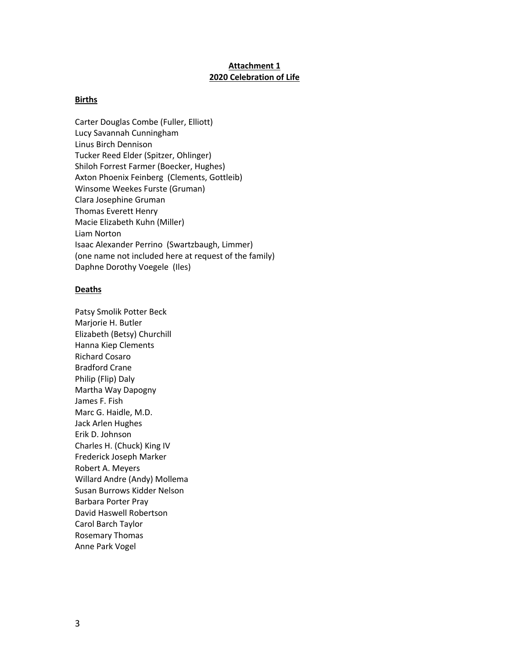### **Attachment 1 2020 Celebration of Life**

#### **Births**

Carter Douglas Combe (Fuller, Elliott) Lucy Savannah Cunningham Linus Birch Dennison Tucker Reed Elder (Spitzer, Ohlinger) Shiloh Forrest Farmer (Boecker, Hughes) Axton Phoenix Feinberg (Clements, Gottleib) Winsome Weekes Furste (Gruman) Clara Josephine Gruman Thomas Everett Henry Macie Elizabeth Kuhn (Miller) Liam Norton Isaac Alexander Perrino (Swartzbaugh, Limmer) (one name not included here at request of the family) Daphne Dorothy Voegele (Iles)

#### **Deaths**

Patsy Smolik Potter Beck Marjorie H. Butler Elizabeth (Betsy) Churchill Hanna Kiep Clements Richard Cosaro Bradford Crane Philip (Flip) Daly Martha Way Dapogny James F. Fish Marc G. Haidle, M.D. Jack Arlen Hughes Erik D. Johnson Charles H. (Chuck) King IV Frederick Joseph Marker Robert A. Meyers Willard Andre (Andy) Mollema Susan Burrows Kidder Nelson Barbara Porter Pray David Haswell Robertson Carol Barch Taylor Rosemary Thomas Anne Park Vogel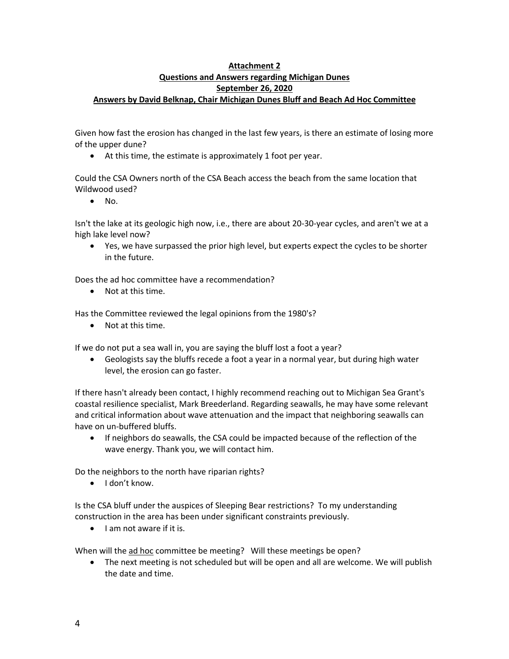## **Attachment 2 Questions and Answers regarding Michigan Dunes September 26, 2020 Answers by David Belknap, Chair Michigan Dunes Bluff and Beach Ad Hoc Committee**

Given how fast the erosion has changed in the last few years, is there an estimate of losing more of the upper dune?

• At this time, the estimate is approximately 1 foot per year.

Could the CSA Owners north of the CSA Beach access the beach from the same location that Wildwood used?

• No.

Isn't the lake at its geologic high now, i.e., there are about 20-30-year cycles, and aren't we at a high lake level now?

• Yes, we have surpassed the prior high level, but experts expect the cycles to be shorter in the future.

Does the ad hoc committee have a recommendation?

• Not at this time.

Has the Committee reviewed the legal opinions from the 1980's?

• Not at this time.

If we do not put a sea wall in, you are saying the bluff lost a foot a year?

• Geologists say the bluffs recede a foot a year in a normal year, but during high water level, the erosion can go faster.

If there hasn't already been contact, I highly recommend reaching out to Michigan Sea Grant's coastal resilience specialist, Mark Breederland. Regarding seawalls, he may have some relevant and critical information about wave attenuation and the impact that neighboring seawalls can have on un-buffered bluffs.

• If neighbors do seawalls, the CSA could be impacted because of the reflection of the wave energy. Thank you, we will contact him.

Do the neighbors to the north have riparian rights?

• I don't know.

Is the CSA bluff under the auspices of Sleeping Bear restrictions? To my understanding construction in the area has been under significant constraints previously.

• I am not aware if it is.

When will the ad hoc committee be meeting? Will these meetings be open?

• The next meeting is not scheduled but will be open and all are welcome. We will publish the date and time.